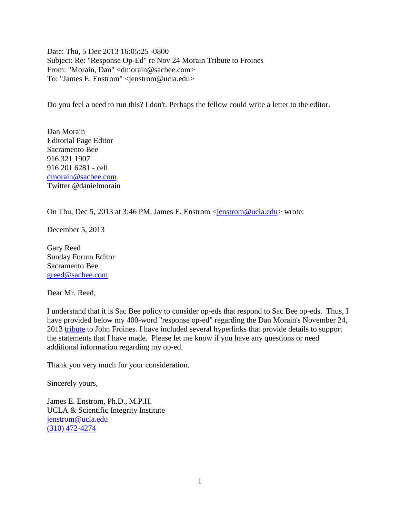Date: Thu, 5 Dec 2013 16:05:25 -0800 Subject: Re: "Response Op-Ed" re Nov 24 Morain Tribute to Froines From: "Morain, Dan" <dmorain@sacbee.com> To: "James E. Enstrom" <jenstrom@ucla.edu>

Do you feel a need to run this? I don't. Perhaps the fellow could write a letter to the editor.

Dan Morain Editorial Page Editor Sacramento Bee 916 321 1907 916 201 6281 - cell [dmorain@sacbee.com](mailto:dmorain@sacbee.com) Twitter @danielmorain

On Thu, Dec 5, 2013 at 3:46 PM, James E. Enstrom <*jenstrom@ucla.edu>* wrote:

December 5, 2013

Gary Reed Sunday Forum Editor Sacramento Bee [greed@sacbee.com](mailto:greed@sacbee.com)

Dear Mr. Reed,

I understand that it is Sac Bee policy to consider op-eds that respond to Sac Bee op-eds. Thus, I have provided below my 400-word "response op-ed" regarding the Dan Morain's November 24, 2013 [tribute](http://www.sacbee.com/2013/11/24/5938492/dan-morain-from-an-obscure-panel.html) to John Froines. I have included several hyperlinks that provide details to support the statements that I have made. Please let me know if you have any questions or need additional information regarding my op-ed.

Thank you very much for your consideration.

Sincerely yours,

James E. Enstrom, Ph.D., M.P.H. UCLA & Scientific Integrity Institute [jenstrom@ucla.edu](mailto:jenstrom@ucla.edu) [\(310\) 472-4274](tel:%28310%29%20472-4274)